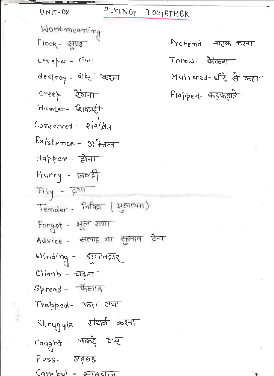FLYING TOUTETHER  $UNIT-02$ Word-meaning  $Flock - 205$ Pretend - नाटक करना  $Throw - \frac{1}{\text{Graph}}$  $Creeper - 1777$ destroy - जेष्ट<sup>-</sup> कर्मा Muttered- धीरे से कहना  $\text{Cree}$  -  $\text{Cov}$ Flapped- फड़फड़ाते<sup>.</sup> Humter- caroner Conserved - संबं<u>क्षित</u> Existence - अस्तित्व Happen - होना Hurry - जलदी  $Pity - 7211$ Tender - Hag (Horran) Forgot - भूल गया Advice - सलाह 21 सुआव दिना Winding - युमावहार  $Climb - \overline{c}$  $S$ pread -  $\Sigma$ Trapped- फल गया Struggle - संघर्ष करना  $Cayght - \overline{vabg}$  and  $Fuss - 31595$ 

۰,

 $C$ are  $\kappa u = \sqrt{2\pi a \sin \pi}$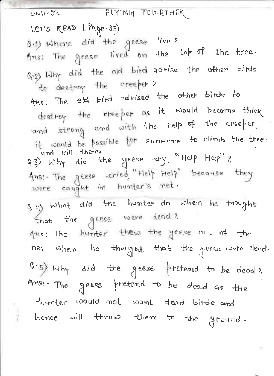FLYING TOGLETHER UNIT-D2 LET'S READ (Page-33) 0.1) Where did the geese live? Ans: The geese lived on the top of the tree. Q.2) Why did the old bird advise the other birds to destroy the creeper? Aus: The old bird advised the other birds to destroy the eree per as it would become thick and strong and with the help of the creeper, it would be possible for someone to climb the tree. and kill them. as) why did the geese any, "Help Help"? Ans: The geese cried, "Help Help" because they were cought in hunter's met. s.4) what did the hunter do when he thought that the geese were dead? Ans: The hunter thew the geese out of the net when he thought that the geese were dead. (3.5) Why did the geese pretend to be dead? Ansi-The geese pretend to be dead as the thunter would not want dead birds and hence will throw them to the ground.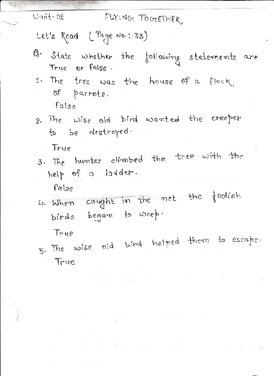## $U$ mit-02 **FLYING TOGETHER**

Let's Read (Page No.:-33)

- B. State whether the following statements are True or false.
- 1. The tree was the house of a flock of parrots. false
- 2. The wise old bird wanted the creeper to be destroyed.

Trye

3. The hunter climbed the tree with the help of a ladder.

Palse

4. When cought in the met the foolish birds began to weep.

Trye

5. The wise old bird helped them to escape,  $T$  True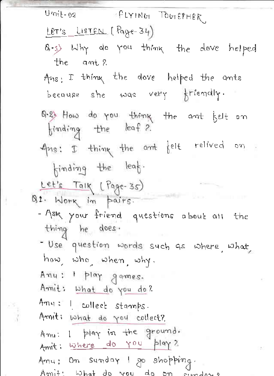| Umit-02 SPLYING TOGETHER                                                                                                                                                     |
|------------------------------------------------------------------------------------------------------------------------------------------------------------------------------|
| LET'S LISTEN (Page-34)                                                                                                                                                       |
| 8.3) Why do you think the dove helped<br>the ant?                                                                                                                            |
|                                                                                                                                                                              |
| Ans: I thing the dove helped the ants                                                                                                                                        |
| because she was very friendly.                                                                                                                                               |
| Q.& How do you thing the ant belt on<br>${\scriptstyle \big\{}^{\text{ind} \text{,} \text{in} \text{in} \text{at} \text{at} \text{at} \text{at} \text{at} \text{at} \big\}}$ |
| Ans: I thing the ant felt relived on.                                                                                                                                        |
| finding the leaf.                                                                                                                                                            |
| Let's Talk (Page-35)                                                                                                                                                         |
| Q1. Work in pairs.                                                                                                                                                           |
| - Ask your friend questions about all the                                                                                                                                    |
| thing he does.                                                                                                                                                               |
| - Use question words such as where, what,                                                                                                                                    |
| how, who, when, why.                                                                                                                                                         |
| Any: 1 play games.                                                                                                                                                           |
| Amit: what do you do?                                                                                                                                                        |
| Amy: I collect stamps.                                                                                                                                                       |
| Arnit: what do you collect?                                                                                                                                                  |
| Any: 1 play in the ground.                                                                                                                                                   |
| Amit: where do you play?                                                                                                                                                     |
| Amu; On sunday I go shopping.                                                                                                                                                |
| Amit: What do                                                                                                                                                                |